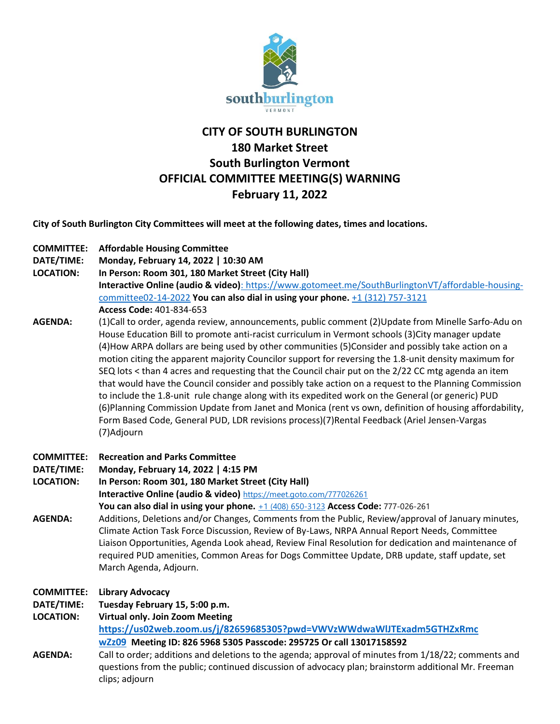

# **CITY OF SOUTH BURLINGTON 180 Market Street South Burlington Vermont OFFICIAL COMMITTEE MEETING(S) WARNING February 11, 2022**

**City of South Burlington City Committees will meet at the following dates, times and locations.** 

| <b>COMMITTEE:</b> | <b>Affordable Housing Committee</b>                                                                                                                                                                                                                                                                                                                                                                                                                                                                                                                                                                                                                                                                                                                                                                                                                                                                                                                                |
|-------------------|--------------------------------------------------------------------------------------------------------------------------------------------------------------------------------------------------------------------------------------------------------------------------------------------------------------------------------------------------------------------------------------------------------------------------------------------------------------------------------------------------------------------------------------------------------------------------------------------------------------------------------------------------------------------------------------------------------------------------------------------------------------------------------------------------------------------------------------------------------------------------------------------------------------------------------------------------------------------|
| DATE/TIME:        | Monday, February 14, 2022   10:30 AM                                                                                                                                                                                                                                                                                                                                                                                                                                                                                                                                                                                                                                                                                                                                                                                                                                                                                                                               |
| <b>LOCATION:</b>  | In Person: Room 301, 180 Market Street (City Hall)                                                                                                                                                                                                                                                                                                                                                                                                                                                                                                                                                                                                                                                                                                                                                                                                                                                                                                                 |
|                   | Interactive Online (audio & video): https://www.gotomeet.me/SouthBurlingtonVT/affordable-housing-                                                                                                                                                                                                                                                                                                                                                                                                                                                                                                                                                                                                                                                                                                                                                                                                                                                                  |
|                   | committee02-14-2022 You can also dial in using your phone. +1 (312) 757-3121                                                                                                                                                                                                                                                                                                                                                                                                                                                                                                                                                                                                                                                                                                                                                                                                                                                                                       |
|                   | Access Code: 401-834-653                                                                                                                                                                                                                                                                                                                                                                                                                                                                                                                                                                                                                                                                                                                                                                                                                                                                                                                                           |
| <b>AGENDA:</b>    | (1)Call to order, agenda review, announcements, public comment (2)Update from Minelle Sarfo-Adu on<br>House Education Bill to promote anti-racist curriculum in Vermont schools (3)City manager update<br>(4) How ARPA dollars are being used by other communities (5) Consider and possibly take action on a<br>motion citing the apparent majority Councilor support for reversing the 1.8-unit density maximum for<br>SEQ lots < than 4 acres and requesting that the Council chair put on the 2/22 CC mtg agenda an item<br>that would have the Council consider and possibly take action on a request to the Planning Commission<br>to include the 1.8-unit rule change along with its expedited work on the General (or generic) PUD<br>(6) Planning Commission Update from Janet and Monica (rent vs own, definition of housing affordability,<br>Form Based Code, General PUD, LDR revisions process)(7)Rental Feedback (Ariel Jensen-Vargas<br>(7)Adjourn |
| <b>COMMITTEE:</b> | <b>Recreation and Parks Committee</b>                                                                                                                                                                                                                                                                                                                                                                                                                                                                                                                                                                                                                                                                                                                                                                                                                                                                                                                              |
| DATE/TIME:        | Monday, February 14, 2022   4:15 PM                                                                                                                                                                                                                                                                                                                                                                                                                                                                                                                                                                                                                                                                                                                                                                                                                                                                                                                                |
| <b>LOCATION:</b>  | In Person: Room 301, 180 Market Street (City Hall)                                                                                                                                                                                                                                                                                                                                                                                                                                                                                                                                                                                                                                                                                                                                                                                                                                                                                                                 |
|                   | Interactive Online (audio & video) https://meet.goto.com/777026261                                                                                                                                                                                                                                                                                                                                                                                                                                                                                                                                                                                                                                                                                                                                                                                                                                                                                                 |
|                   | You can also dial in using your phone. +1 (408) 650-3123 Access Code: 777-026-261                                                                                                                                                                                                                                                                                                                                                                                                                                                                                                                                                                                                                                                                                                                                                                                                                                                                                  |
| <b>AGENDA:</b>    | Additions, Deletions and/or Changes, Comments from the Public, Review/approval of January minutes,<br>Climate Action Task Force Discussion, Review of By-Laws, NRPA Annual Report Needs, Committee<br>Liaison Opportunities, Agenda Look ahead, Review Final Resolution for dedication and maintenance of<br>required PUD amenities, Common Areas for Dogs Committee Update, DRB update, staff update, set<br>March Agenda, Adjourn.                                                                                                                                                                                                                                                                                                                                                                                                                                                                                                                               |
| <b>COMMITTEE:</b> | <b>Library Advocacy</b>                                                                                                                                                                                                                                                                                                                                                                                                                                                                                                                                                                                                                                                                                                                                                                                                                                                                                                                                            |
| DATE/TIME:        | Tuesday February 15, 5:00 p.m.                                                                                                                                                                                                                                                                                                                                                                                                                                                                                                                                                                                                                                                                                                                                                                                                                                                                                                                                     |
| <b>LOCATION:</b>  | Virtual only. Join Zoom Meeting                                                                                                                                                                                                                                                                                                                                                                                                                                                                                                                                                                                                                                                                                                                                                                                                                                                                                                                                    |
|                   | https://us02web.zoom.us/j/82659685305?pwd=VWVzWWdwaWIJTExadm5GTHZxRmc                                                                                                                                                                                                                                                                                                                                                                                                                                                                                                                                                                                                                                                                                                                                                                                                                                                                                              |
|                   | wZz09 Meeting ID: 826 5968 5305 Passcode: 295725 Or call 13017158592                                                                                                                                                                                                                                                                                                                                                                                                                                                                                                                                                                                                                                                                                                                                                                                                                                                                                               |
| <b>AGENDA:</b>    | Call to order; additions and deletions to the agenda; approval of minutes from 1/18/22; comments and<br>questions from the public; continued discussion of advocacy plan; brainstorm additional Mr. Freeman<br>clips; adjourn                                                                                                                                                                                                                                                                                                                                                                                                                                                                                                                                                                                                                                                                                                                                      |